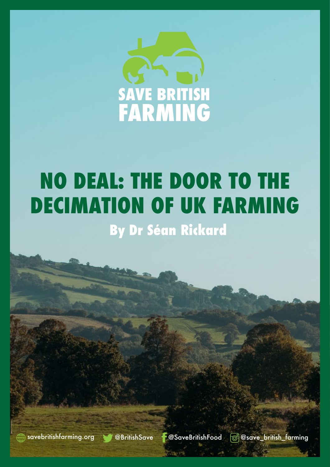

## **NO DEAL: THE DOOR TO THE DECIMATION OF UK FARMING By Dr Séan Rickard**

farming.org @BritishSave **@SaveBritishFood @@save\_british\_farming.**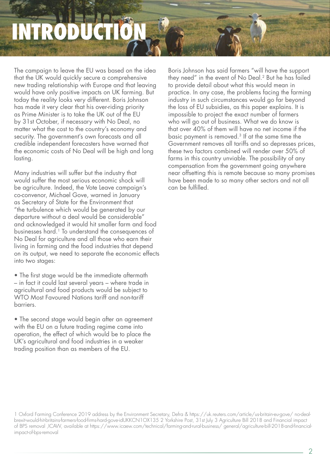# **IRODU**

The campaign to leave the EU was based on the idea that the UK would quickly secure a comprehensive new trading relationship with Europe and that leaving would have only positive impacts on UK farming. But today the reality looks very different. Boris Johnson has made it very clear that his over-riding priority as Prime Minister is to take the UK out of the EU bv 31st October, if necessary with No Deal, no matter what the cost to the country's economy and security. The government's own forecasts and all credible independent forecasters have warned that the economic costs of No Deal will be high and long lasting.

Many industries will suffer but the industry that would suffer the most serious economic shock will be agriculture. Indeed, the Vote Leave campaign's co-convenor, Michael Gove, warned in January as Secretary of State for the Environment that "the turbulence which would be generated by our departure without a deal would be considerable" and acknowledged it would hit smaller farm and food businesses hard.<sup>1</sup> To understand the consequences of No Deal for agriculture and all those who earn their living in farming and the food industries that depend on its output, we need to separate the economic effects into two stages:

• The first stage would be the immediate aftermath - in fact it could last several years - where trade in agricultural and food products would be subject to  $\widetilde{W}$ TO Most Favoured Nations tariff and non-tariff .barriers

• The second stage would begin after an agreement with the EU on a future trading regime came into operation, the effect of which would be to place the UK's agricultural and food industries in a weaker trading position than as members of the EU.

Boris Johnson has said farmers "will have the support they need" in the event of No Deal.<sup>2</sup> But he has failed to provide detail about what this would mean in practice. In any case, the problems facing the farming industry in such circumstances would go far beyond the loss of EU subsidies, as this paper explains. It is impossible to project the exact number of farmers who will go out of business. What we do know is that over 40% of them will have no net income if the basic payment is removed.<sup>3</sup> If at the same time the Government removes all tariffs and so depresses prices, these two factors combined will render over  $50\%$  of farms in this country unviable. The possibility of any compensation from the government going anywhere near offsetting this is remote because so many promises have been made to so many other sectors and not all can be fulfilled

<sup>1</sup> Oxford Farming Conference 2019 address by the Environment Secretary, Defra & https://uk.reuters.com/article/us-britain-eu-gove/ no-deal<br>brexit-would-hit-britains-farmers-food-firms-hard-gove-idUKKCN1OX135 2 Yorkshire Pos of BPS removal ,ICAW, available at https://www.icaew.com/technical/tarming-and-rural-business/ general/agriculture-bill-2018-and-financial<br>impact-of-bps-removal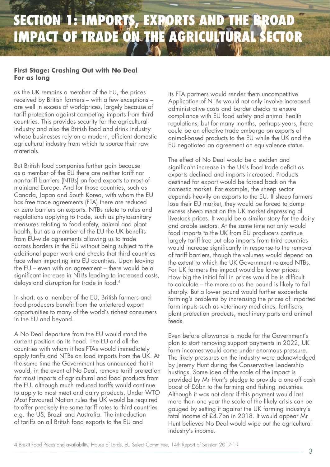## **SECTION 1: IMPORTS, EXPORTS AND THE BROAD IMPACT OF TRADE ON THE AGRICULTURAL SECTOR**

#### **First Stage: Crashing Out with No Deal For** as long

as the UK remains a member of the EU, the prices received by British farmers – with a few exceptions – are well in excess of worldprices, largely because of tariff protection against competing imports from third countries. This provides security for the agricultural industry and also the British food and drink industry whose businesses rely on a modern, efficient domestic agricultural industry from which to source their raw materials

But British food companies further gain because as a member of the EU there are neither tariff nor non-tariff barriers (NTBs) on food exports to most of mainland Europe. And for those countries, such as Canada, Japan and South Korea, with whom the EU has free trade agreements (FTA) there are reduced or zero barriers on exports. NTBs relate to rules and regulations applying to trade, such as phytosanitary measures relating to food safety, animal and plant health, but as a member of the EU the UK benefits from EU-wide agreements allowing us to tradeacross borders in the EU without being subject to the additional paper work and checks that third countries face when importing into EU countries. Upon leaving the EU – even with an agreement – there would be a significant increase in NTBs leading to increased costs, delays and disruption for trade in food.<sup>4</sup>

In short, as a member of the EU, British farmers and food producers benefit from the unfettered export opportunities to many of the world's richest consumers in the EU and beyond.

A No Deal departure from the EU would stand the current position on its head. The EU and all the countries with whom it has FTAs would immediately apply tariffs and NTBs on food imports from the UK. At the same time the Government has announced that it would, in the event of No Deal, remove tariff protection for most imports of agricultural and food products from the EU, although much reduced tariffs would continue to apply to most meat and dairy products. Under WTO Most Favoured Nation rules the UK would be required to offer precisely the same tariff rates to third countries e.a. the US, Brazil and Australia. The introduction of tariffs on all British food exports to the EU and

its FTA partners would render them uncompetitive Application of NTBs would not only involve increased administrative costs and border checks to ensure compliance with EU food safety and animal health regulations, but for many months, perhaps years, there could be an effective trade embargo on exports of animal-based products to the EU while the UK and the EU negotiated an agreement on equivalence status.

The effect of No Deal would be a sudden and significant increase in the UK's food trade deficit as exports declined and imports increased. Products destined for export would be forced back on the domestic market. For example, the sheep sector depends heavily on exports to the EU. If sheep farmers lose their EU market, they would be forced to dump excess sheep meat on the UK market depressing all livestock prices. It would be a similar story for the dairy and arable sectors. At the same time not only would food imports to the UK from EU producers continue largely tariff-free but also imports from third countries would increase significantly in response to the removal of tariff barriers, though the volumes would depend on the extent to which the UK Government relaxed NTBs. For UK farmers the impact would be lower prices. How big the initial fall in prices would be is difficult to calculate – the more so as the pound is likely to fall sharply. But a lower pound would further exacerbate farming's problems by increasing the prices of imported farm inputs such as veterinary medicines, fertilisers, plant protection products, machinery parts and animal feeds.

Even before allowance is made for the Government's plan to start removing support payments in 2022, UK farm incomes would come under enormous pressure. The likely pressures on the industry were acknowledged by Jeremy Hunt during the Conservative Leadership hustings. Some idea of the scale of the impact is provided by Mr Hunt's pledge to provide a one-off cash boost of £6 bn to the farming and fishing industries. Although it was not clear if this payment would last more than one year the scale of the likely crisis can be gauged by setting it against the UK farming industry's total income of £4.7 bn in 2018. It would appear Mr Hunt believes No Deal would wipe out the agricultural industry's income.

4 Brexit Food Prices and availability, House of Lords, EU Select Committee, 14th Report of Session 2017-19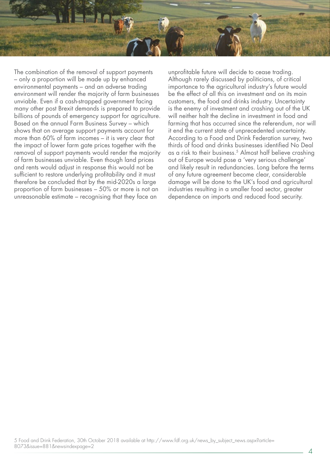

The combination of the removal of support payments – only a proportion will be made up by enhanced environmental payments – and an adverse trading environment will render the majority of farm businesses unviable. Even if a cash-strapped government facing many other post Brexit demands is prepared to provide billions of pounds of emergency support for agriculture. Based on the annual Farm Business Survey - which shows that on average support payments account for more than 60% of farm incomes  $-$  it is very clear that the impact of lower farm gate prices together with the removal of support payments would render the majority of farm businesses unviable. Even though land prices and rents would adjust in response this would not be sufficient to restore underlying profitability and it must therefore be concluded that by the mid-2020s a large proportion of farm businesses  $-50\%$  or more is not an unreasonable estimate – recognising that they face an

unprofitable future will decide to cease trading. Although rarely discussed by politicians, of critical importance to the agricultural industry's future would be the effect of all this on investment and on its main customers, the food and drinks industry. Uncertainty is the enemy of investment and crashing out of the UK will neither halt the decline in investment in food and farming that has occurred since the referendum, nor will it end the current state of unprecedented uncertainty. According to a Food and Drink Federation survey, two thirds of food and drinks businesses identified No Deal as a risk to their business.<sup>5</sup> Almost half believe crashing out of Europe would pose a 'very serious challenge' and likely result in redundancies. Long before the terms of any future agreement become clear, considerable damage will be done to the UK's food and agricultural industries resulting in a smaller food sector, greater dependence on imports and reduced food security.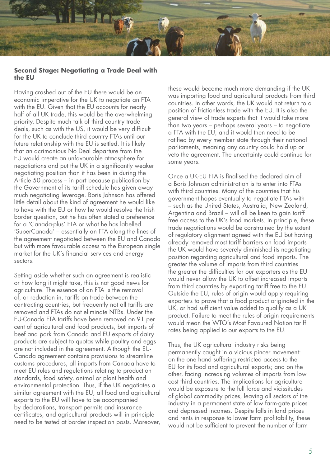

#### **Second Stage: Negotiating a Trade Deal with the EU**

Having crashed out of the EU there would be an economic imperative for the UK to negotiate an FTA with the EU. Given that the EU accounts for nearly half of all UK trade, this would be the overwhelming priority. Despite much talk of third country trade deals, such as with the US, it would be very difficult for the UK to conclude third country FTAs until our future relationship with the EU is settled. It is likely that an acrimonious No Deal departure from the EU would create an unfavourable atmosphere for negotiations and put the UK in a significantly weaker negotiating position than it has been in during the Article 50 process  $-$  in part because publication by the Government of its tariff schedule has given away much negotiating leverage. Boris Johnson has offered little detail about the kind of agreement he would like to have with the EU or how he would resolve the Irish border question, but he has often stated a preference for a 'Canada-plus' FTA or what he has labelled 'SuperCanada' – essentially an FTA along the lines of the agreement negotiated between the EU and Canada but with more favourable access to the European single market for the UK's financial services and energy .sectors

Setting aside whether such an agreement is realistic or how long it might take, this is not good news for agriculture. The essence of an FTA is the removal of, or reduction in, tariffs on trade between the contracting countries, but frequently not all tariffs are removed and FTAs do not eliminate NTBs. Under the EU-Canada FTA tariffs have been removed on 91 per cent of agricultural and food products, but imports of beef and pork from Canada and EU exports of dairy products are subject to quotas while poultry and eggs Canada agreement contains provisions to streamline are not included in the agreement. Although the EUcustoms procedures, all imports from Canada have to meet EU rules and regulations relating to production standards, food safety, animal or plant health and environmental protection. Thus, if the UK negotiates a similar agreement with the EU, all food and agricultural exports to the EU will have to be accompanied by declarations, transport permits and insurance certificates, and agricultural products will in principle need to be tested at border inspection posts. Moreover,

these would become much more demanding if the UK was importing food and agricultural products from third countries. In other words, the UK would not return to a position of frictionless trade with the EU. It is also the general view of trade experts that it would take more than two years – perhaps several years – to negotiate a FTA with the EU, and it would then need to be ratified by every member state through their national parliaments, meaning any country could hold up or veto the agreement. The uncertainty could continue for some years.

Once a UK-EU FTA is finalised the declared aim of a Boris Johnson administration is to enter into FTAs with third countries. Many of the countries that his government hopes eventually to negotiate FTAs with - such as the United States, Australia, New Zealand, Argentina and Brazil – will all be keen to gain tariff free access to the UK's food markets. In principle, these trade negotiations would be constrained by the extent of regulatory alignment agreed with the EU but having already removed most tariff barriers on food imports the UK would have severely diminished its negotiating position regarding agricultural and food imports. The greater the volume of imports from third countries the greater the difficulties for our exporters as the EU would never allow the UK to offset increased imports from third countries by exporting tariff free to the EU. Outside the EU, rules of origin would apply requiring exporters to prove that a food product originated in the UK, or had sufficient value added to qualify as a UK product. Failure to meet the rules of origin requirements would mean the WTO's Most Favoured Nation tariff rates being applied to our exports to the EU.

Thus, the UK agricultural industry risks being permanently caught in a vicious pincer movement: on the one hand suffering restricted access to the EU for its food and agricultural exports; and on the other, facing increasing volumes of imports from low cost third countries. The implications for agriculture would be exposure to the full force and vicissitudes of global commodity prices, leaving all sectors of the industry in a permanent state of low farm-gate prices and depressed incomes. Despite falls in land prices and rents in response to lower farm profitability, these would not be sufficient to prevent the number of farm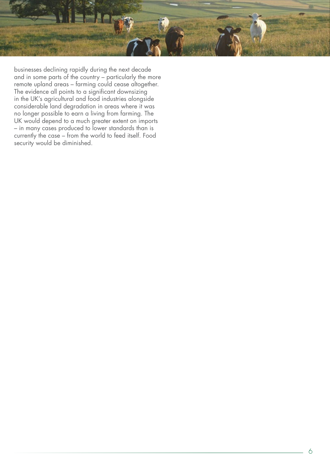

businesses declining rapidly during the next decade and in some parts of the country – particularly the more remote upland areas – farming could cease altogether. The evidence all points to a significant downsizing in the UK's agricultural and food industries alongside considerable land degradation in areas where it was no longer possible to earn a living from farming. The UK would depend to a much greater extent on imports – in many cases produced to lower standards than is currently the case – from the world to feed itself. Food security would be diminished.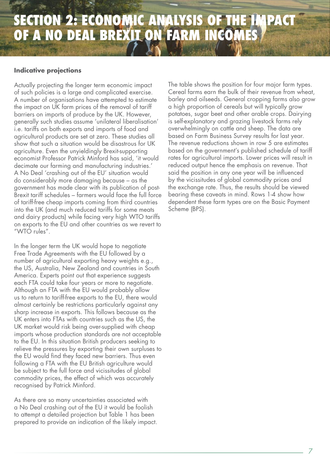### **SECTION 2: ECONOMIC ANALYSIS OF THE IMPACT OF A NO DEAL BREXIT ON FARM INCOMES**

#### **Indicative projections**

Actually projecting the longer term economic impact of such policies is a large and complicated exercise. A number of organisations have attempted to estimate the impact on UK farm prices of the removal of tariff barriers on imports of produce by the UK. However, generally such studies assume 'unilateral liberalisation' i.e. tariffs on both exports and imports of food and agricultural products are set at zero. These studies all show that such a situation would be disastrous for UK agriculture. Even the unyieldingly Brexit-supporting economist Professor Patrick Minford has said, 'it would decimate our farming and manufacturing industries.' A No Deal 'crashing out of the EU' situation would do considerably more damaging because – as the Brexit tariff schedules – farmers would face the full force government has made clear with its publication of postof tariff-free cheap imports coming from third countries into the UK (and much reduced tariffs for some meats and dairy products) while facing very high WTO tariffs on exports to the EU and other countries as we revert to  $"WTO$  rules".

In the longer term the UK would hope to negotiate Free Trade Agreements with the EU followed by a number of agricultural exporting heavy weights e.g., the US, Australia, New Zealand and countries in South America. Experts point out that experience suggests each FTA could take four years or more to negotiate. Although an FTA with the EU would probably allow us to return to tariff-free exports to the EU, there would almost certainly be restrictions particularly against any sharp increase in exports. This follows because as the UK enters into FTAs with countries such as the US, the UK market would risk being over-supplied with cheap imports whose production standards are not acceptable to the EU. In this situation British producers seeking to relieve the pressures by exporting their own surpluses to the EU would find they faced new barriers. Thus even following a FTA with the EU British agriculture would be subject to the full force and vicissitudes of global commodity prices, the effect of which was accurately recognised by Patrick Minford.

As there are so many uncertainties associated with a No Deal crashing out of the EU it would be foolish to attempt a detailed projection but Table 1 has been prepared to provide an indication of the likely impact. The table shows the position for four major farm types. Cereal farms earn the bulk of their revenue from wheat, barley and oilseeds. General cropping farms also grow a high proportion of cereals but will typically grow potatoes, sugar beet and other arable crops. Dairying is self-explanatory and grazing livestock farms rely overwhelmingly on cattle and sheep. The data are based on Farm Business Survey results for last year. The revenue reductions shown in row 5 are estimates based on the government's published schedule of tariff rates for agricultural imports. Lower prices will result in reduced output hence the emphasis on revenue. That said the position in any one year will be influenced by the vicissitudes of global commodity prices and the exchange rate. Thus, the results should be viewed bearing these caveats in mind. Rows 1-4 show how dependent these farm types are on the Basic Payment Scheme (BPS).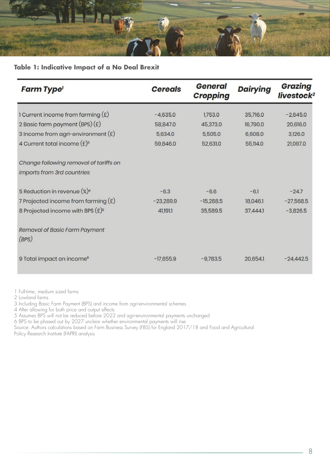

#### **Table 1: Indicative Impact of a No Deal Brexit**

| <b>Farm Type'</b>                       | <b>Cereals</b> | General<br>Cropping | <b>Dairying</b> | Grazing<br>livestock <sup>2</sup> |
|-----------------------------------------|----------------|---------------------|-----------------|-----------------------------------|
| 1 Current income from farming $(E)$     | $-4,635.0$     | 1,753.0             | 35,716.0        | $-2,645.0$                        |
| 2 Basic farm payment $(BPS)(E)$         | 58,847.0       | 45,373.0            | 16,790.0        | 20,616.0                          |
| 3 Income from agri-environment $(E)$    | 5,634.0        | 5,505.0             | 6,608.0         | 3,126.0                           |
| 4 Current total income $(E)^3$          | 59,846.0       | 52,631.0            | 55,114.0        | 21,097.0                          |
| Change following removal of tariffs on  |                |                     |                 |                                   |
| imports from 3rd countries              |                |                     |                 |                                   |
| 5 Reduction in revenue (%) <sup>4</sup> | $-6.3$         | $-6.6$              | $-6.1$          | $-24.7$                           |
| 7 Projected income from farming $(E)$   | $-23,289.9$    | $-15,288.5$         | 18,046.1        | $-27,568.5$                       |
| 8 Projected income with BPS $(E)^5$     | 41,191.1       | 35,589.5            | 37,444.1        | $-3,826.5$                        |
| Removal of Basic Farm Payment<br>(BPS)  |                |                     |                 |                                   |
| 9 Total impact on income <sup>6</sup>   | $-17,655.9$    | $-9,783.5$          | 20,654.1        | $-24,442.5$                       |

1 Full-time, medium sized farms

2 Lowland farms

3 Including Basic Farm Payment (BPS) and income from agri-environmental schemes

4 After allowing for both price and output effects

5 Assumes BPS will not be reduced before 2022 and agri-environmental payments unchanged

6 BPS to be phased out by 2027 unclear whether environmental payments will rise

Source: Authors calculations based on Farm Business Survey (FBS) for England 2017/18 and Food and Agricultural Policy Research Institute (FAPRI) analysis